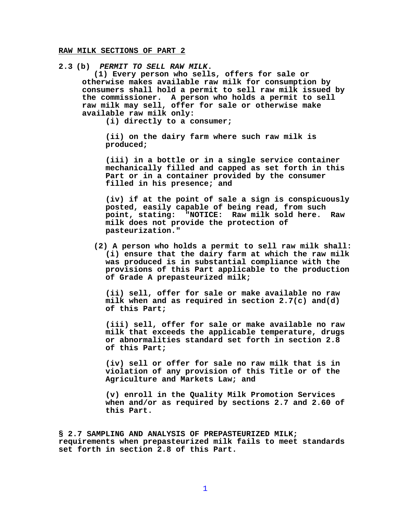## **RAW MILK SECTIONS OF PART 2**

**2.3 (b)** *PERMIT TO SELL RAW MILK***.** 

**(1) Every person who sells, offers for sale or otherwise makes available raw milk for consumption by consumers shall hold a permit to sell raw milk issued by the commissioner. A person who holds a permit to sell raw milk may sell, offer for sale or otherwise make available raw milk only:**

**(i) directly to a consumer;**

**(ii) on the dairy farm where such raw milk is produced;**

**(iii) in a bottle or in a single service container mechanically filled and capped as set forth in this Part or in a container provided by the consumer filled in his presence; and**

**(iv) if at the point of sale a sign is conspicuously posted, easily capable of being read, from such point, stating: "NOTICE: Raw milk sold here. Raw milk does not provide the protection of pasteurization."**

**(2) A person who holds a permit to sell raw milk shall: (i) ensure that the dairy farm at which the raw milk was produced is in substantial compliance with the provisions of this Part applicable to the production of Grade A prepasteurized milk;**

**(ii) sell, offer for sale or make available no raw milk when and as required in section 2.7(c) and(d) of this Part;**

**(iii) sell, offer for sale or make available no raw milk that exceeds the applicable temperature, drugs or abnormalities standard set forth in section 2.8 of this Part;**

**(iv) sell or offer for sale no raw milk that is in violation of any provision of this Title or of the Agriculture and Markets Law; and**

**(v) enroll in the Quality Milk Promotion Services when and/or as required by sections 2.7 and 2.60 of this Part.**

**§ 2.7 SAMPLING AND ANALYSIS OF PREPASTEURIZED MILK; requirements when prepasteurized milk fails to meet standards set forth in section 2.8 of this Part.**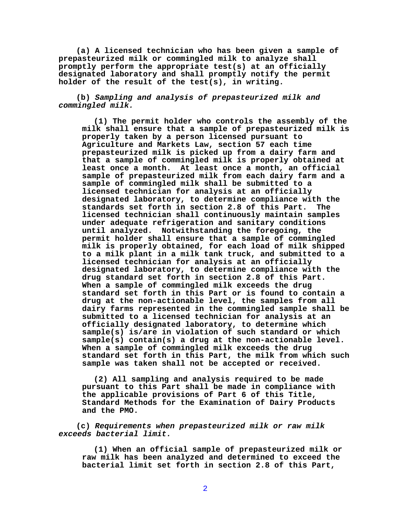**(a) A licensed technician who has been given a sample of prepasteurized milk or commingled milk to analyze shall promptly perform the appropriate test(s) at an officially designated laboratory and shall promptly notify the permit holder of the result of the test(s), in writing.**

**(b)** *Sampling and analysis of prepasteurized milk and commingled milk.*

**(1) The permit holder who controls the assembly of the milk shall ensure that a sample of prepasteurized milk is properly taken by a person licensed pursuant to Agriculture and Markets Law, section 57 each time prepasteurized milk is picked up from a dairy farm and that a sample of commingled milk is properly obtained at least once a month. At least once a month, an official sample of prepasteurized milk from each dairy farm and a sample of commingled milk shall be submitted to a licensed technician for analysis at an officially designated laboratory, to determine compliance with the standards set forth in section 2.8 of this Part. The licensed technician shall continuously maintain samples under adequate refrigeration and sanitary conditions until analyzed. Notwithstanding the foregoing, the permit holder shall ensure that a sample of commingled milk is properly obtained, for each load of milk shipped to a milk plant in a milk tank truck, and submitted to a licensed technician for analysis at an officially designated laboratory, to determine compliance with the drug standard set forth in section 2.8 of this Part. When a sample of commingled milk exceeds the drug standard set forth in this Part or is found to contain a drug at the non-actionable level, the samples from all dairy farms represented in the commingled sample shall be submitted to a licensed technician for analysis at an officially designated laboratory, to determine which sample(s) is/are in violation of such standard or which sample(s) contain(s) a drug at the non-actionable level. When a sample of commingled milk exceeds the drug standard set forth in this Part, the milk from which such sample was taken shall not be accepted or received.**

**(2) All sampling and analysis required to be made pursuant to this Part shall be made in compliance with the applicable provisions of Part 6 of this Title, Standard Methods for the Examination of Dairy Products and the PMO.**

**(c)** *Requirements when prepasteurized milk or raw milk exceeds bacterial limit.*

**(1) When an official sample of prepasteurized milk or raw milk has been analyzed and determined to exceed the bacterial limit set forth in section 2.8 of this Part,**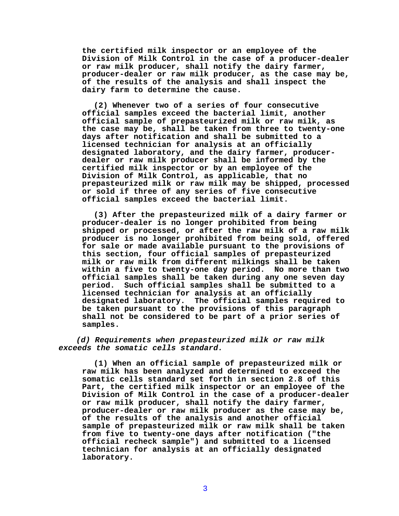**the certified milk inspector or an employee of the Division of Milk Control in the case of a producer-dealer or raw milk producer, shall notify the dairy farmer, producer-dealer or raw milk producer, as the case may be, of the results of the analysis and shall inspect the dairy farm to determine the cause.**

**(2) Whenever two of a series of four consecutive official samples exceed the bacterial limit, another official sample of prepasteurized milk or raw milk, as the case may be, shall be taken from three to twenty-one days after notification and shall be submitted to a licensed technician for analysis at an officially designated laboratory, and the dairy farmer, producerdealer or raw milk producer shall be informed by the certified milk inspector or by an employee of the Division of Milk Control, as applicable, that no prepasteurized milk or raw milk may be shipped, processed or sold if three of any series of five consecutive official samples exceed the bacterial limit.** 

**(3) After the prepasteurized milk of a dairy farmer or producer-dealer is no longer prohibited from being shipped or processed, or after the raw milk of a raw milk producer is no longer prohibited from being sold, offered for sale or made available pursuant to the provisions of this section, four official samples of prepasteurized milk or raw milk from different milkings shall be taken within a five to twenty-one day period. No more than two official samples shall be taken during any one seven day period. Such official samples shall be submitted to a licensed technician for analysis at an officially designated laboratory. The official samples required to be taken pursuant to the provisions of this paragraph shall not be considered to be part of a prior series of samples.**

*(d) Requirements when prepasteurized milk or raw milk exceeds the somatic cells standard.* 

**(1) When an official sample of prepasteurized milk or raw milk has been analyzed and determined to exceed the somatic cells standard set forth in section 2.8 of this Part, the certified milk inspector or an employee of the Division of Milk Control in the case of a producer-dealer or raw milk producer, shall notify the dairy farmer, producer-dealer or raw milk producer as the case may be, of the results of the analysis and another official sample of prepasteurized milk or raw milk shall be taken from five to twenty-one days after notification ("the official recheck sample") and submitted to a licensed technician for analysis at an officially designated laboratory.**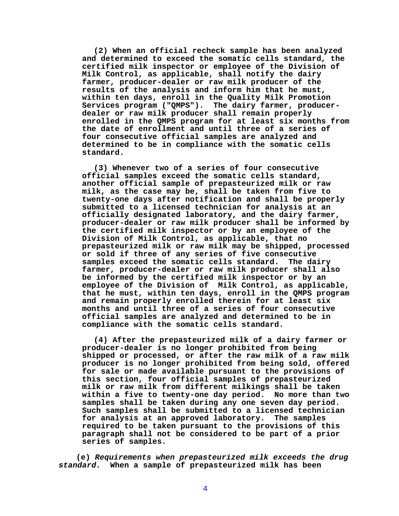**(2) When an official recheck sample has been analyzed and determined to exceed the somatic cells standard, the certified milk inspector or employee of the Division of Milk Control, as applicable, shall notify the dairy farmer, producer-dealer or raw milk producer of the results of the analysis and inform him that he must, within ten days, enroll in the Quality Milk Promotion Services program ("QMPS"). The dairy farmer, producerdealer or raw milk producer shall remain properly enrolled in the QMPS program for at least six months from the date of enrollment and until three of a series of four consecutive official samples are analyzed and determined to be in compliance with the somatic cells standard.**

**(3) Whenever two of a series of four consecutive official samples exceed the somatic cells standard, another official sample of prepasteurized milk or raw milk, as the case may be, shall be taken from five to twenty-one days after notification and shall be properly submitted to a licensed technician for analysis at an officially designated laboratory, and the dairy farmer, producer-dealer or raw milk producer shall be informed by the certified milk inspector or by an employee of the Division of Milk Control, as applicable, that no prepasteurized milk or raw milk may be shipped, processed or sold if three of any series of five consecutive samples exceed the somatic cells standard. The dairy farmer, producer-dealer or raw milk producer shall also be informed by the certified milk inspector or by an employee of the Division of Milk Control, as applicable, that he must, within ten days, enroll in the QMPS program and remain properly enrolled therein for at least six months and until three of a series of four consecutive official samples are analyzed and determined to be in compliance with the somatic cells standard.**

**(4) After the prepasteurized milk of a dairy farmer or producer-dealer is no longer prohibited from being shipped or processed, or after the raw milk of a raw milk producer is no longer prohibited from being sold, offered for sale or made available pursuant to the provisions of this section, four official samples of prepasteurized milk or raw milk from different milkings shall be taken within a five to twenty-one day period. No more than two samples shall be taken during any one seven day period. Such samples shall be submitted to a licensed technician for analysis at an approved laboratory. The samples required to be taken pursuant to the provisions of this paragraph shall not be considered to be part of a prior series of samples.**

**(e)** *Requirements when prepasteurized milk exceeds the drug standard.* **When a sample of prepasteurized milk has been**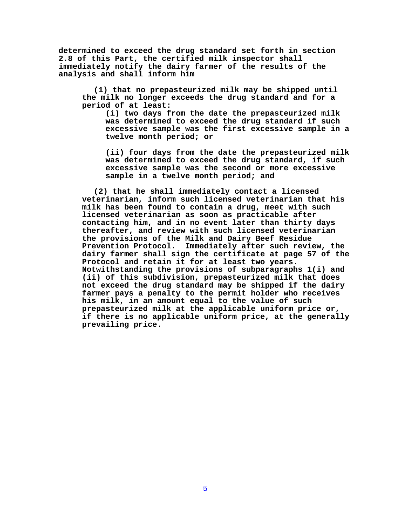**determined to exceed the drug standard set forth in section 2.8 of this Part, the certified milk inspector shall immediately notify the dairy farmer of the results of the analysis and shall inform him** 

**(1) that no prepasteurized milk may be shipped until the milk no longer exceeds the drug standard and for a period of at least:**

**(i) two days from the date the prepasteurized milk was determined to exceed the drug standard if such excessive sample was the first excessive sample in a twelve month period; or**

**(ii) four days from the date the prepasteurized milk was determined to exceed the drug standard, if such excessive sample was the second or more excessive sample in a twelve month period; and**

**(2) that he shall immediately contact a licensed veterinarian, inform such licensed veterinarian that his milk has been found to contain a drug, meet with such licensed veterinarian as soon as practicable after contacting him, and in no event later than thirty days thereafter, and review with such licensed veterinarian the provisions of the Milk and Dairy Beef Residue Prevention Protocol. Immediately after such review, the dairy farmer shall sign the certificate at page 57 of the Protocol and retain it for at least two years. Notwithstanding the provisions of subparagraphs 1(i) and (ii) of this subdivision, prepasteurized milk that does not exceed the drug standard may be shipped if the dairy farmer pays a penalty to the permit holder who receives his milk, in an amount equal to the value of such prepasteurized milk at the applicable uniform price or, if there is no applicable uniform price, at the generally prevailing price.**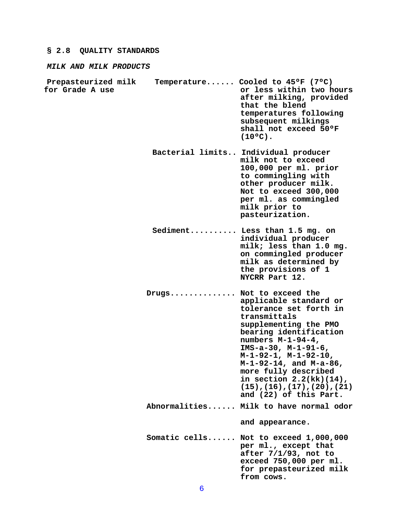## **§ 2.8 QUALITY STANDARDS**

*MILK AND MILK PRODUCTS*

- **Prepasteurized milk Temperature...... Cooled to 45ºF (7ºC)** or less within two hours **after milking, provided that the blend temperatures following subsequent milkings shall not exceed 50ºF**
	- **Bacterial limits.. Individual producer milk not to exceed 100,000 per ml. prior to commingling with other producer milk. Not to exceed 300,000 per ml. as commingled milk prior to pasteurization.**

**(10ºC).**

- **Sediment.......... Less than 1.5 mg. on individual producer milk; less than 1.0 mg. on commingled producer milk as determined by the provisions of 1 NYCRR Part 12.**
- **Drugs.............. Not to exceed the applicable standard or tolerance set forth in transmittals supplementing the PMO bearing identification numbers M-1-94-4, IMS-a-30, M-1-91-6, M-1-92-1, M-1-92-10, M-1-92-14, and M-a-86, more fully described in section 2.2(kk)(14), (15),(16),(17),(20),(21) and (22) of this Part. Abnormalities...... Milk to have normal odor and appearance. Somatic cells...... Not to exceed 1,000,000 per ml., except that after 7/1/93, not to exceed 750,000 per ml.**

**for prepasteurized milk** 

**from cows.**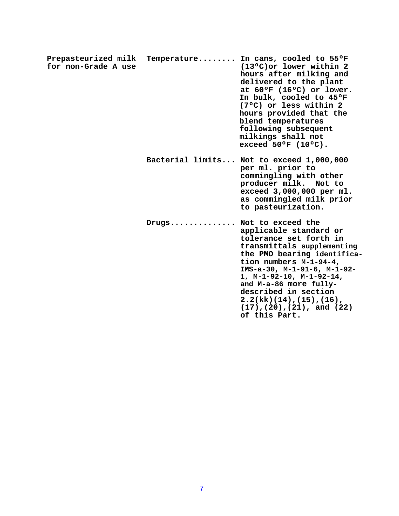**Prepasteurized milk Temperature........ In cans, cooled to 55ºF for non-Grade A use (13ºC)or lower within 2 hours after milking and delivered to the plant at 60ºF (16ºC) or lower. In bulk, cooled to 45ºF (7ºC) or less within 2 hours provided that the blend temperatures following subsequent milkings shall not exceed 50ºF (10ºC). Bacterial limits... Not to exceed 1,000,000 per ml. prior to**

**commingling with other producer milk. Not to exceed 3,000,000 per ml. as commingled milk prior to pasteurization.**

**Drugs.............. Not to exceed the applicable standard or tolerance set forth in transmittals supplementing the PMO bearing identification numbers M-1-94-4, IMS-a-30, M-1-91-6, M-1-92- 1, M-1-92-10, M-1-92-14, and M-a-86 more fullydescribed in section 2.2(kk)(14),(15),(16), (17),(20),(21), and (22) of this Part.**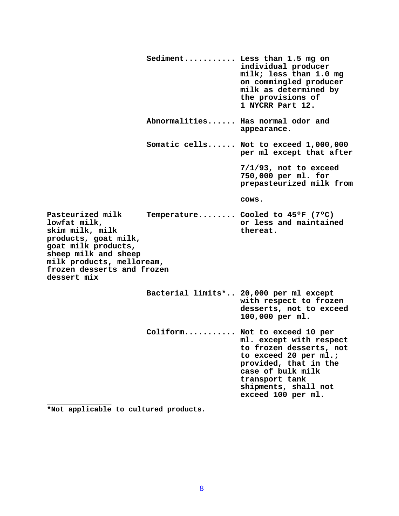**Sediment........... Less than 1.5 mg on individual producer milk; less than 1.0 mg on commingled producer milk as determined by the provisions of 1 NYCRR Part 12. Abnormalities...... Has normal odor and appearance. Somatic cells...... Not to exceed 1,000,000 per ml except that after 7/1/93, not to exceed 750,000 per ml. for prepasteurized milk from cows.** Pasteurized milk Temperature........ Cooled to 45°F (7°C)<br>lowfat milk, or less and maintain **lowfat milk, or less and maintained** skim milk, milk thereat. **products, goat milk, goat milk products, sheep milk and sheep milk products, melloream, frozen desserts and frozen dessert mix Bacterial limits\*.. 20,000 per ml except with respect to frozen desserts, not to exceed 100,000 per ml. Coliform........... Not to exceed 10 per ml. except with respect to frozen desserts, not to exceed 20 per ml.; provided, that in the case of bulk milk transport tank shipments, shall not exceed 100 per ml. \_\_\_\_\_\_\_\_\_\_\_\_\_\_\_**

**\*Not applicable to cultured products.**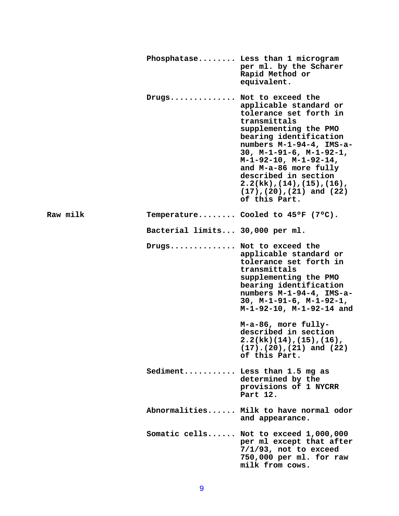|          |                                 | Phosphatase Less than 1 microgram<br>per ml. by the Scharer<br>Rapid Method or<br>equivalent.                                                                                                                                                                                                                                                                      |
|----------|---------------------------------|--------------------------------------------------------------------------------------------------------------------------------------------------------------------------------------------------------------------------------------------------------------------------------------------------------------------------------------------------------------------|
|          | Drugs Not to exceed the         | applicable standard or<br>tolerance set forth in<br>transmittals<br>supplementing the PMO<br>bearing identification<br>numbers M-1-94-4, IMS-a-<br>30, $M-1-91-6$ , $M-1-92-1$ ,<br>$M-1-92-10$ , $M-1-92-14$ ,<br>and M-a-86 more fully<br>described in section<br>$2.2(kk)$ , $(14)$ , $(15)$ , $(16)$ ,<br>$(17)$ , $(20)$ , $(21)$ and $(22)$<br>of this Part. |
| Raw milk |                                 | Temperature Cooled to $45^{\circ}$ F (7 $^{\circ}$ C).                                                                                                                                                                                                                                                                                                             |
|          | Bacterial limits 30,000 per ml. |                                                                                                                                                                                                                                                                                                                                                                    |
|          | Drugs Not to exceed the         | applicable standard or<br>tolerance set forth in<br>transmittals<br>supplementing the PMO<br>bearing identification<br>numbers M-1-94-4, IMS-a-<br>30, $M-1-91-6$ , $M-1-92-1$ ,<br>M-1-92-10, M-1-92-14 and                                                                                                                                                       |
|          |                                 | M-a-86, more fully-<br>described in section<br>$2.2(kk)(14)$ , $(15)$ , $(16)$ ,<br>$(17)$ . $(20)$ , $(21)$ and $(22)$<br>of this Part.                                                                                                                                                                                                                           |
|          |                                 | Sediment Less than 1.5 mg as<br>determined by the<br>provisions of 1 NYCRR<br>Part 12.                                                                                                                                                                                                                                                                             |
|          |                                 | Abnormalities Milk to have normal odor<br>and appearance.                                                                                                                                                                                                                                                                                                          |
|          |                                 | Somatic cells Not to exceed 1,000,000<br>per ml except that after<br>$7/1/93$ , not to exceed<br>750,000 per ml. for raw<br>milk from cows.                                                                                                                                                                                                                        |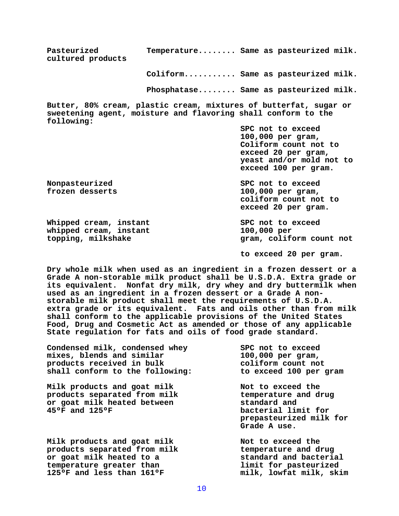**Pasteurized Temperature........ Same as pasteurized milk. cultured products Coliform........... Same as pasteurized milk. Phosphatase........ Same as pasteurized milk. Butter, 80% cream, plastic cream, mixtures of butterfat, sugar or sweetening agent, moisture and flavoring shall conform to the following: SPC not to exceed 100,000 per gram, Coliform count not to exceed 20 per gram, yeast and/or mold not to exceed 100 per gram. Nonpasteurized SPC not to exceed frozen desserts 100,000 per gram, coliform count not to exceed 20 per gram.** Whipped cream, instant **SPC** not to exceed whipped cream, instant 100,000 per **topping, milkshake gram, coliform count not to exceed 20 per gram.**

**Dry whole milk when used as an ingredient in a frozen dessert or a Grade A non-storable milk product shall be U.S.D.A. Extra grade or its equivalent. Nonfat dry milk, dry whey and dry buttermilk when used as an ingredient in a frozen dessert or a Grade A nonstorable milk product shall meet the requirements of U.S.D.A. extra grade or its equivalent. Fats and oils other than from milk shall conform to the applicable provisions of the United States Food, Drug and Cosmetic Act as amended or those of any applicable State regulation for fats and oils of food grade standard.**

**Condensed milk, condensed whey SPC not to exceed mixes, blends and similar 100,000 per gram,**  products received in bulk **coliform** count not **shall conform to the following: to exceed 100 per gram**

Milk products and goat milk **Not to exceed the products separated from milk normal except** temperature and drug products separated from milk **or goat milk heated between standard and** 

Milk products and goat milk **Not to exceed the products separated from milk temperature and drug or goat milk heated to a standard and bacterial**  temperature greater than **limit** for pasteurized **125ºF and less than 161ºF milk, lowfat milk, skim** 

bacterial limit for **prepasteurized milk for Grade A use.**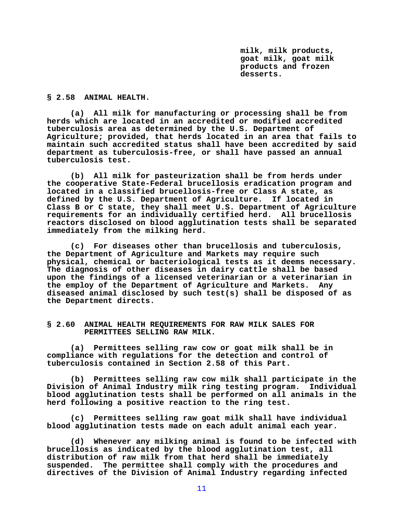**milk, milk products, goat milk, goat milk products and frozen desserts.**

## **§ 2.58 ANIMAL HEALTH.**

**(a) All milk for manufacturing or processing shall be from herds which are located in an accredited or modified accredited tuberculosis area as determined by the U.S. Department of Agriculture; provided, that herds located in an area that fails to maintain such accredited status shall have been accredited by said department as tuberculosis-free, or shall have passed an annual tuberculosis test.** 

**(b) All milk for pasteurization shall be from herds under the cooperative State-Federal brucellosis eradication program and located in a classified brucellosis-free or Class A state, as defined by the U.S. Department of Agriculture. If located in Class B or C state, they shall meet U.S. Department of Agriculture requirements for an individually certified herd. All brucellosis reactors disclosed on blood agglutination tests shall be separated immediately from the milking herd.**

**(c) For diseases other than brucellosis and tuberculosis, the Department of Agriculture and Markets may require such physical, chemical or bacteriological tests as it deems necessary. The diagnosis of other diseases in dairy cattle shall be based upon the findings of a licensed veterinarian or a veterinarian in the employ of the Department of Agriculture and Markets. Any diseased animal disclosed by such test(s) shall be disposed of as the Department directs.**

## **§ 2.60 ANIMAL HEALTH REQUIREMENTS FOR RAW MILK SALES FOR PERMITTEES SELLING RAW MILK.**

**(a) Permittees selling raw cow or goat milk shall be in compliance with regulations for the detection and control of tuberculosis contained in Section 2.58 of this Part.**

**(b) Permittees selling raw cow milk shall participate in the Division of Animal Industry milk ring testing program. Individual blood agglutination tests shall be performed on all animals in the herd following a positive reaction to the ring test.**

**(c) Permittees selling raw goat milk shall have individual blood agglutination tests made on each adult animal each year.**

**(d) Whenever any milking animal is found to be infected with brucellosis as indicated by the blood agglutination test, all distribution of raw milk from that herd shall be immediately suspended. The permittee shall comply with the procedures and directives of the Division of Animal Industry regarding infected**